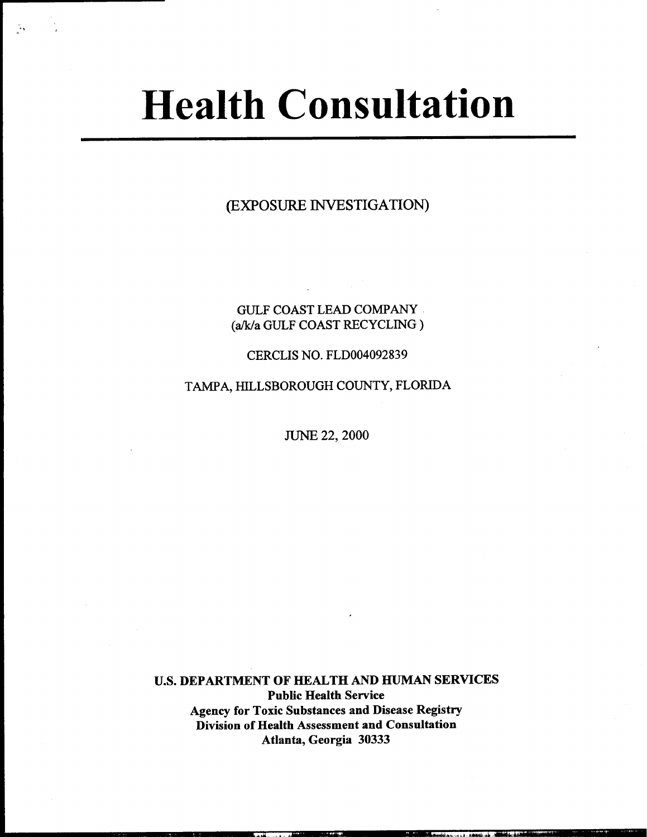# Health Consultation

-,

(EXPOSURE INVESTIGATION)

### GULF COAST LEAD COMPANY (a/k/a GULF COAST RECYCLING)

#### CERCLIS NO. FLDOO4092839

TAMPA, HILLSBOROUGH COUNTY, FLORIDA

JUNE 22, 2000

u.s. DEPARTMENT OF HEALTH AND HUMAN SERVICES Public Health Service Agency for Toxic Substances and Disease Registry Division of Health Assessment and Consultation Atlanta, Georgia 30333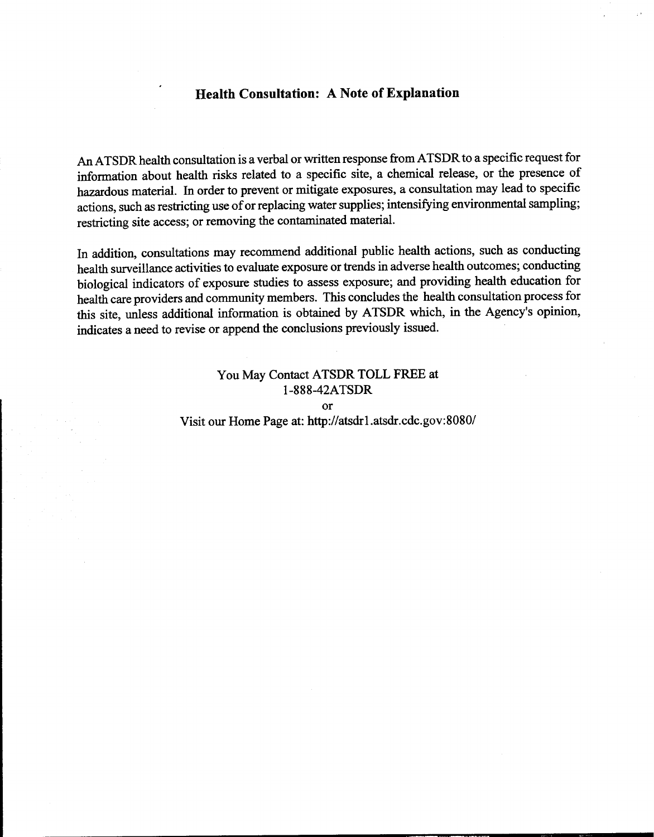#### Health Consultation: A Note of Explanation

.

An ATSDR health consultation is a verbal or written response from ATSDR to a specific request for information about health risks related to a specific site, a chemical release, or the presence of hazardous material. In order to prevent or mitigate exposures, a consultation may lead to specific actions, such as restricting use of or replacing water supplies; intensifying environmental sampling; restricting site access; or removing the contaminated material.

In addition, consultations may recommend additional public health actions, such as conducting health surveillance activities to evaluate exposure or trends in adverse health outcomes; conducting biological indicators of exposure studies to assess exposure; and providing health education for health care providers and community members. This concludes the health consultation process for this site, unless additional information is obtained by ATSDR which, in the Agency's opinion, indicates a need to revise or append the conclusions previously issued.

## You May Contact ATSDR TOLL FREE at 1-888-42A TSDR or Visit our Home Page at: http://atsdrl.atsdr.cdc.gov:8080/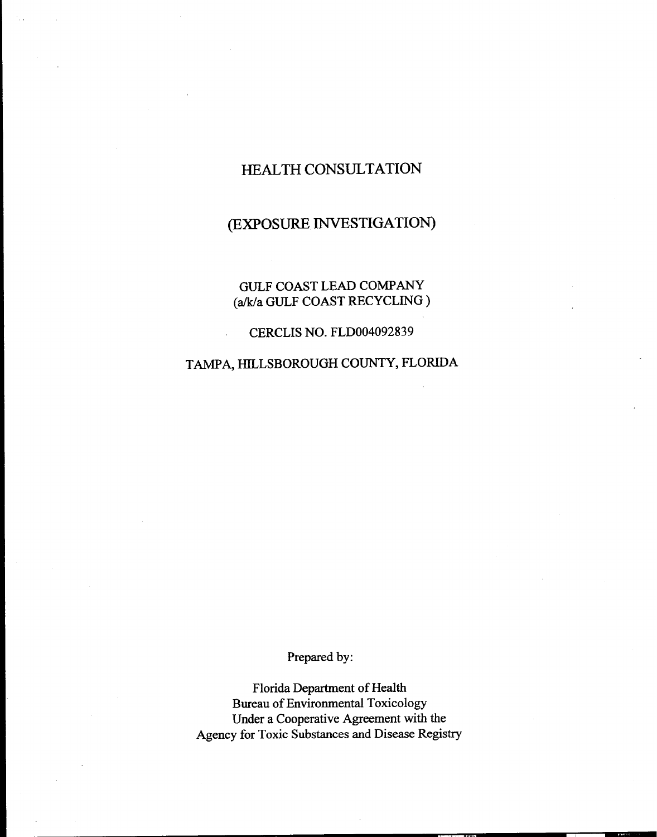# HEALTH CONSULTATION

# (EXPOSURE INVESTIGATION)

GULF COAST LEAD COMPANY (alk/a GULF COAST RECYCLING)

CERCUS NO. FLDOO4092839

TAMPA, HILLSBOROUGH COUNTY, FLORIDA

Prepared by:

Florida Department of Health Bureau of Environmental Toxicology Under a Cooperative Agreement with the Agency for Toxic Substances and Disease Registry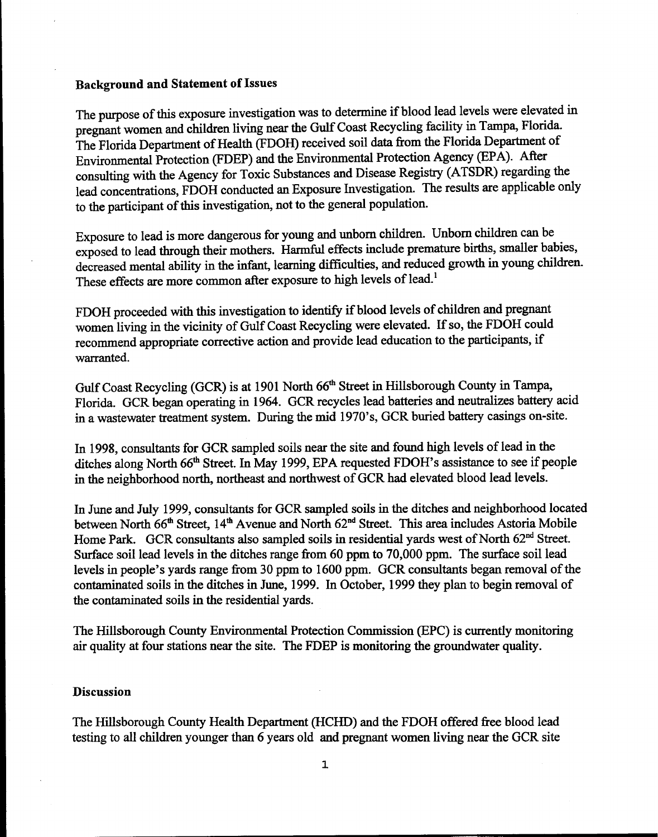#### **Background and Statement of Issues**

The purpose of this exposure investigation was to determine if blood lead levels were elevated in pregnant women and children living near the Gulf Coast Recycling facility in Tampa, Florida. The Florida Department of Health (FDOH) received soil data from the Florida Department of Environmental Protection (FDEP) and the Environmental Protection Agency (EPA). After consulting with the Agency for Toxic Substances and Disease Registry (ATSDR) regarding the lead concentrations, FDOH conducted an Exposure Investigation. The results are applicable only to the participant of this investigation, not to the general population.

Exposure to lead is more dangerous for young and unborn children. Unborn children can be exposed to lead through their mothers. Harmful effects include premature births, smaller babies, decreased mental ability in the infant, learning difficulties, and reduced growth in young children. These effects are more common after exposure to high levels of lead.<sup>1</sup>

FDOH proceeded with this investigation to identify if blood levels of children and pregnant women living in the vicinity of Gulf Coast Recycling were elevated. If so, the FDOH could recommend appropriate corrective action and provide lead education to the participants, if warranted.

Gulf Coast Recycling (GCR) is at 1901 North 66<sup>th</sup> Street in Hillsborough County in Tampa, Florida. GCR began operating in 1964. GCR recycles lead batteries and neutralizes battery acid in a wastewater treatment system. During the mid 1970's, GCR buried battery casings on-site.

In 1998, consultants for GCR sampled soils near the site and found high levels of lead in the ditches along North 66<sup>th</sup> Street. In May 1999, EPA requested FDOH's assistance to see if people in the neighborhood north, northeast and northwest of GCR had elevated blood lead levels.

In June and July 1999, consultants for GCR sampled soils in the ditches and neighborhood located between North 66<sup>th</sup> Street, 14<sup>th</sup> Avenue and North 62<sup>nd</sup> Street. This area includes Astoria Mobile Home Park. GCR consultants also sampled soils in residential yards west of North 62<sup>nd</sup> Street. Surface soil lead levels in the ditches range from 60 ppm to 70,000 ppm. The surface soil lead levels in people's yards range from 30 ppm to 1600 ppm. GCR consultants began removal of the contaminated soils in the ditches in June, 1999. In October, 1999 they plan to begin removal of the contaminated soils in the residential yards.

The Hillsborough County Environmental Protection Commission (EPC) is currently monitoring air quality at four stations near the site. The FDEP is monitoring the groundwater quality.

#### **Discussion**

The Hillsborough County Health Department (HCHD) and the FDOH offered free blood lead testing to all children younger than 6 years old and pregnant women living near the GCR site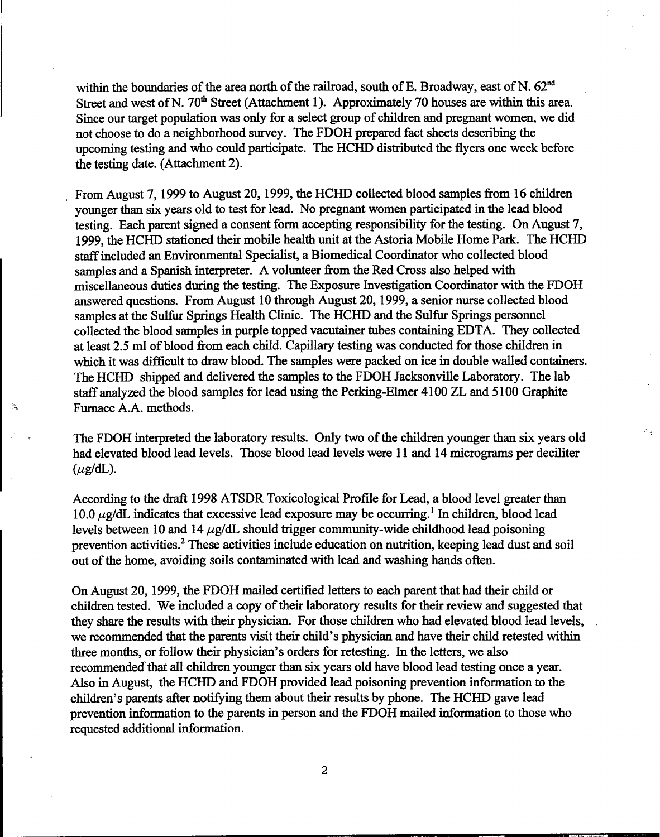within the boundaries of the area north of the railroad, south of E. Broadway, east of N.  $62<sup>nd</sup>$ Street and west of N. 70<sup>th</sup> Street (Attachment 1). Approximately 70 houses are within this area. Since our target population was only for a select group of children and pregnant women, we did not choose to do a neighborhood survey. The FDOH prepared fact sheets describing the upcoming testing and who could participate. The HCHD distributed the flyers one week before the testing date. (Attachment 2).

I

.From August 7, 1999 to August 20, 1999, the HCHD collected blood samples from 16 children younger than six years old to test for lead. No pregnant women participated in the lead blood testing. Each parent signed a consent form accepting responsibility for the testing. On August 7, 1999, the HCHD stationed their mobile health unit at the Astoria Mobile Home Park. The HCHD staff included an Environmental Specialist, a Biomedical Coordinator who collected blood samples and a Spanish interpreter. A volunteer from the Red Cross also helped with miscellaneous duties during the testing. The Exposure Investigation Coordinator with the FDOH answered questions. From August 10 through August 20, 1999, a senior nurse collected blood samples at the Sulfur Springs Health Clinic. The HCHD and the Sulfur Springs personnel collected the blood samples in purple topped vacutainer tubes containing EDTA. They collected at least 2.5 ml of blood from each child. Capillary testing was conducted for those children in which it was difficult to draw blood. The samples were packed on ice in double walled containers. The HCHD shipped and delivered the samples to the FDOH Jacksonville Laboratory. The lab staff analyzed the blood samples for lead using the Perking-Elmer 4100 ZL and 5100 Graphite Furnace A.A. methods.

The FDOH interpreted the laboratory results. Only two of the children younger than six years old had elevated blood lead levels. Those blood lead levels were 11 and 14 micrograms per deciliter  $(\mu$ g/dL).

According to the draft 1998 ATSDR Toxicological Profile for Lead, a blood level greater than 10.0  $\mu$ g/dL indicates that excessive lead exposure may be occurring.<sup>1</sup> In children, blood lead levels between 10 and 14  $\mu$ g/dL should trigger community-wide childhood lead poisoning prevention activities.<sup>2</sup> These activities include education on nutrition, keeping lead dust and soil out of the home, avoiding soils contaminated with lead and washing hands often.

On August 20, 1999, the FDOH mailed certified letters to each parent that had their child or children tested. We included a copy of their laboratory results for their review and suggested that they share the results with their physician. For those children who had elevated blood lead levels, we recommended that the parents visit their child's physician and have their child retested within three months, or follow their physician's orders for retesting. In the letters, we also recommended'that all children younger than six years old have blood lead testing once a year. Also in August, the HCHD and FDOH provided lead poisoning prevention information to the children's parents after notifying them about their results by phone. The HCHD gave lead prevention information to the parents in person and the FDOH mailed information to those who requested additional information.

2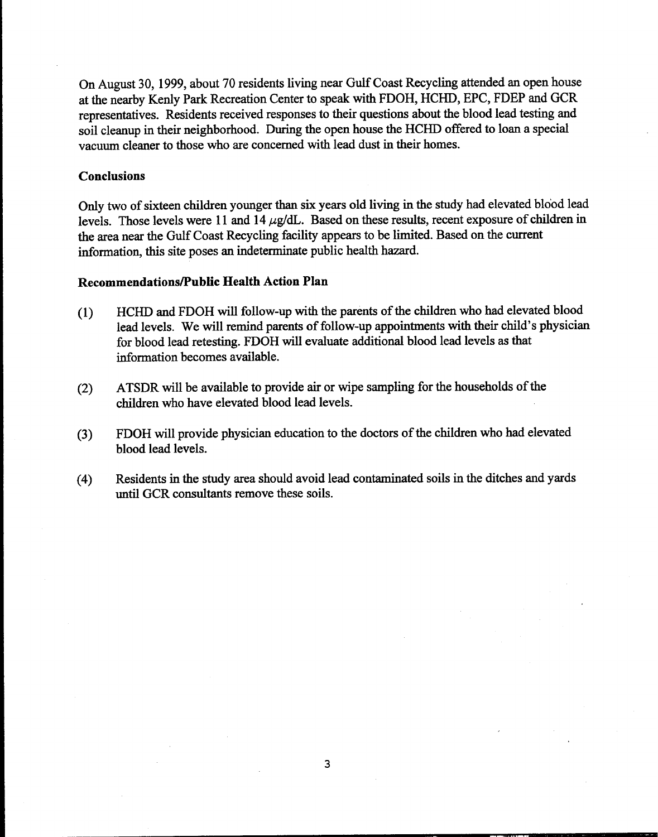On August 30, 1999, about 70 residents living near Gulf Coast Recycling attended an open house at the nearby Kenly Park Recreation Center to speak with FDOH, HCHD, EPC, FDEP and GCR representatives. Residents received responses to their questions about the blood lead testing and soil cleanup in their neighborhood. During the open house the HCHD offered to loan a special vacuum cleaner to those who are concerned with lead dust in their homes.

#### **Conclusions**

Only two of sixteen children younger than six years old living in the study had elevated blo'od lead levels. Those levels were 11 and 14  $\mu$ g/dL. Based on these results, recent exposure of children in the area near the Gulf Coast Recycling facility appears to be limited. Based on the current information, this site poses an indeterminate public health hazard.

#### Recommendations/Public Health Action Plan

- (1) HCHD and FDOH will follow-up with the parents of the children who had elevated blood lead levels. We will remind parents of follow-up appointments with their child's physician for blood lead retesting. FDOH will evaluate additional blood lead levels as that information becomes available.
- (2) ATSDR will be available to provide air or wipe sampling for the households of the children who have elevated blood lead levels.
- (3) FDOH will provide physician education to the doctors of the children who had elevated blood lead levels.
- (4) Residents in the study area should avoid lead contaminated soils in the ditches and yards until GCR consultants remove these soils.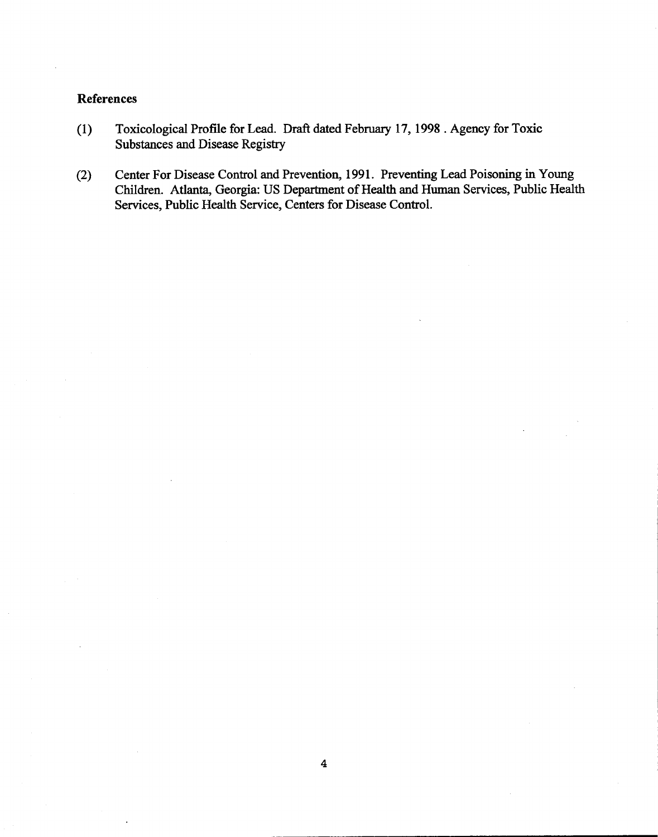## References

- (1) Toxicological Profile for Lead. Draft dated February 17, 1998 .Agency for Toxic Substances and Disease Registry
- (2) Center For Disease Control and Prevention, 1991. Preventing Lead Poisoning in Young Children. Atlanta, Georgia: US Department of Health and Human Services, Public Health Services, Public Health Service, Centers for Disease Control.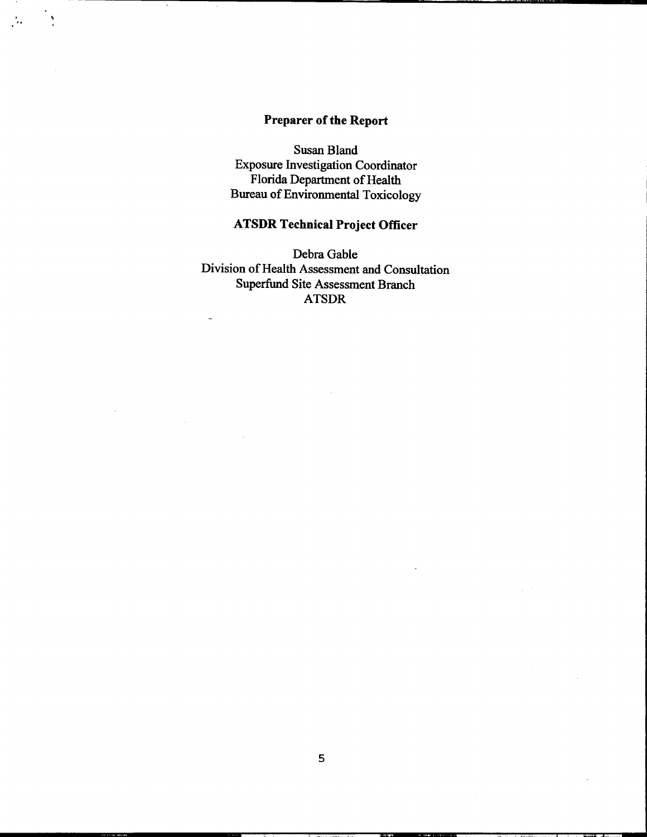# Preparer of the Report

.

 $\mathcal{L} = \mathcal{L}$ 

Susan Bland Exposure Investigation Coordinator Florida Department of Health Bureau of Environmental Toxicology

# ATSDR Technical Project Officer

Debra Gable Division of Health Assessment and Consultation Superfund Site Assessment Branch ATSDR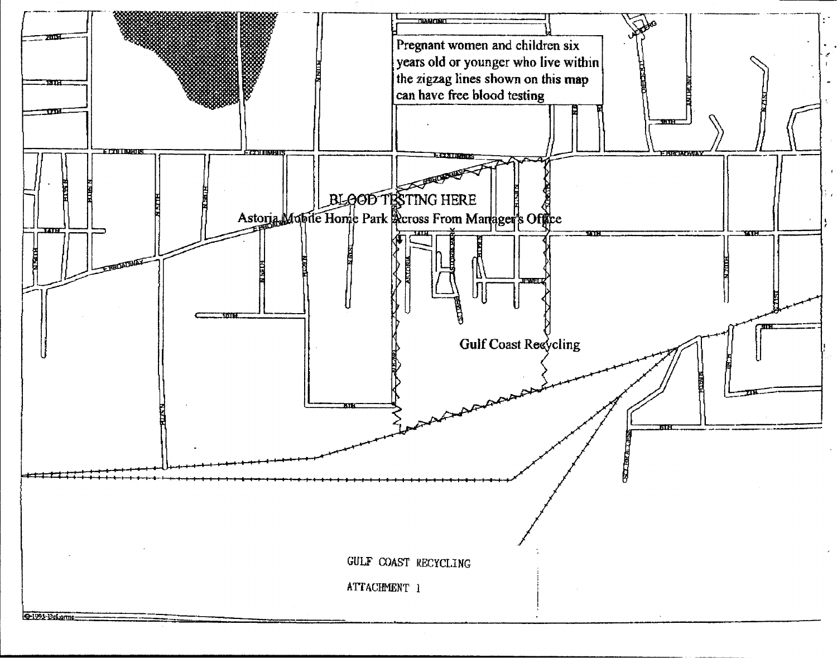